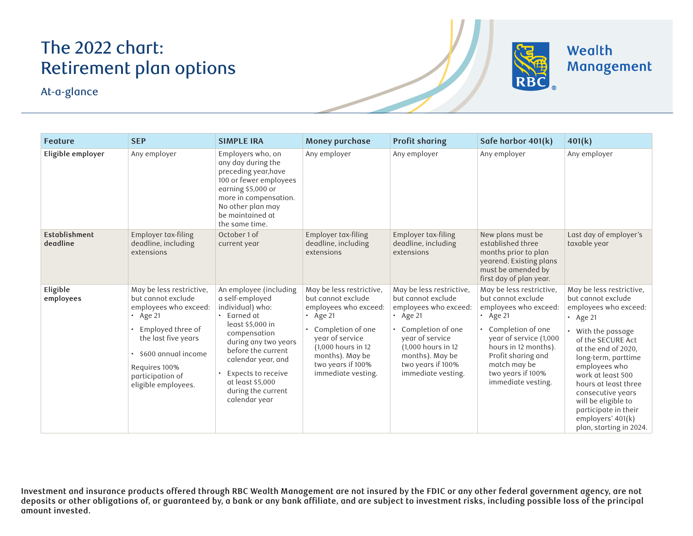## The 2022 chart: Retirement plan options

At-a-glance



Wealth Management

| <b>Feature</b>            | <b>SEP</b>                                                                                                                                                                                                               | <b>SIMPLE IRA</b>                                                                                                                                                                                                                                                   | Money purchase                                                                                                                                                                                                         | <b>Profit sharing</b>                                                                                                                                                                                                  | Safe harbor 401(k)                                                                                                                                                                                                                                | 401(k)                                                                                                                                                                                                                                                                                                                                                             |
|---------------------------|--------------------------------------------------------------------------------------------------------------------------------------------------------------------------------------------------------------------------|---------------------------------------------------------------------------------------------------------------------------------------------------------------------------------------------------------------------------------------------------------------------|------------------------------------------------------------------------------------------------------------------------------------------------------------------------------------------------------------------------|------------------------------------------------------------------------------------------------------------------------------------------------------------------------------------------------------------------------|---------------------------------------------------------------------------------------------------------------------------------------------------------------------------------------------------------------------------------------------------|--------------------------------------------------------------------------------------------------------------------------------------------------------------------------------------------------------------------------------------------------------------------------------------------------------------------------------------------------------------------|
| Eligible employer         | Any employer                                                                                                                                                                                                             | Employers who, on<br>any day during the<br>preceding year, have<br>100 or fewer employees<br>earning \$5,000 or<br>more in compensation.<br>No other plan may<br>be maintained at<br>the same time.                                                                 | Any employer                                                                                                                                                                                                           | Any employer                                                                                                                                                                                                           | Any employer                                                                                                                                                                                                                                      | Any employer                                                                                                                                                                                                                                                                                                                                                       |
| Establishment<br>deadline | Employer tax-filing<br>deadline, including<br>extensions                                                                                                                                                                 | October 1 of<br>current year                                                                                                                                                                                                                                        | Employer tax-filing<br>deadline, including<br>extensions                                                                                                                                                               | Employer tax-filing<br>deadline, including<br>extensions                                                                                                                                                               | New plans must be<br>established three<br>months prior to plan<br>yearend. Existing plans<br>must be amended by<br>first day of plan year.                                                                                                        | Last day of employer's<br>taxable year                                                                                                                                                                                                                                                                                                                             |
| Eligible<br>employees     | May be less restrictive,<br>but cannot exclude<br>employees who exceed:<br>$\cdot$ Age 21<br>Employed three of<br>the last five years<br>\$600 annual income<br>Requires 100%<br>participation of<br>eligible employees. | An employee (including<br>a self-employed<br>individual) who:<br>Earned at<br>least \$5,000 in<br>compensation<br>during any two years<br>before the current<br>calendar year, and<br>Expects to receive<br>at least \$5,000<br>during the current<br>calendar year | May be less restrictive,<br>but cannot exclude<br>employees who exceed:<br>$\cdot$ Age 21<br>Completion of one<br>year of service<br>(1,000 hours in 12)<br>months). May be<br>two years if 100%<br>immediate vesting. | May be less restrictive,<br>but cannot exclude<br>employees who exceed:<br>$\cdot$ Age 21<br>Completion of one<br>year of service<br>(1,000 hours in 12)<br>months). May be<br>two years if 100%<br>immediate vesting. | May be less restrictive.<br>but cannot exclude<br>employees who exceed:<br>$\cdot$ Age 21<br>Completion of one<br>year of service (1,000<br>hours in 12 months).<br>Profit sharing and<br>match may be<br>two years if 100%<br>immediate vesting. | May be less restrictive,<br>but cannot exclude<br>employees who exceed:<br>$\cdot$ Age 21<br>With the passage<br>of the SECURE Act<br>at the end of 2020.<br>long-term, parttime<br>employees who<br>work at least 500<br>hours at least three<br>consecutive years<br>will be eligible to<br>participate in their<br>employers' 401(k)<br>plan, starting in 2024. |

**Investment and insurance products offered through RBC Wealth Management are not insured by the FDIC or any other federal government agency, are not**  deposits or other obligations of, or guaranteed by, a bank or any bank affiliate, and are subject to investment risks, including possible loss of the principal **amount invested.**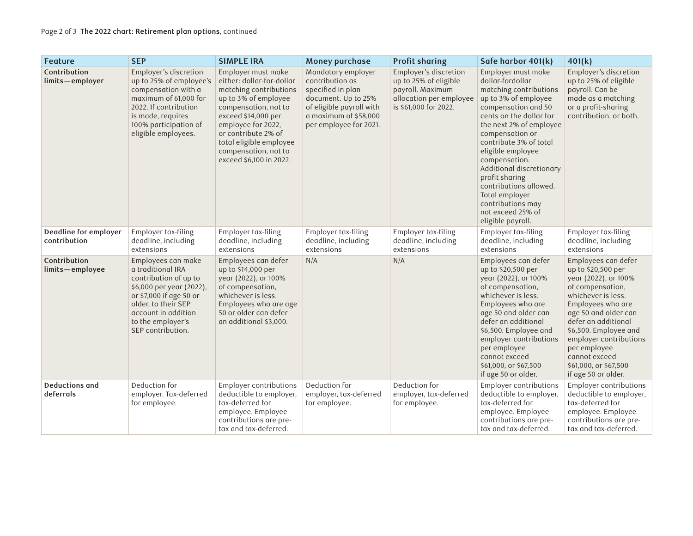| Feature                               | <b>SEP</b>                                                                                                                                                                                                      | <b>SIMPLE IRA</b>                                                                                                                                                                                                                                                           | Money purchase                                                                                                                                                   | <b>Profit sharing</b>                                                                                                  | Safe harbor 401(k)                                                                                                                                                                                                                                                                                                                                                                                                | 401(k)                                                                                                                                                                                                                                                                                                              |
|---------------------------------------|-----------------------------------------------------------------------------------------------------------------------------------------------------------------------------------------------------------------|-----------------------------------------------------------------------------------------------------------------------------------------------------------------------------------------------------------------------------------------------------------------------------|------------------------------------------------------------------------------------------------------------------------------------------------------------------|------------------------------------------------------------------------------------------------------------------------|-------------------------------------------------------------------------------------------------------------------------------------------------------------------------------------------------------------------------------------------------------------------------------------------------------------------------------------------------------------------------------------------------------------------|---------------------------------------------------------------------------------------------------------------------------------------------------------------------------------------------------------------------------------------------------------------------------------------------------------------------|
| Contribution<br>limits-employer       | Employer's discretion<br>up to 25% of employee's<br>compensation with a<br>maximum of 61,000 for<br>2022. If contribution<br>is made, requires<br>100% participation of<br>eligible employees.                  | Employer must make<br>either: dollar-for-dollar<br>matching contributions<br>up to 3% of employee<br>compensation, not to<br>exceed \$14,000 per<br>employee for 2022,<br>or contribute 2% of<br>total eligible employee<br>compensation, not to<br>exceed \$6,100 in 2022. | Mandatory employer<br>contribution as<br>specified in plan<br>document. Up to 25%<br>of eligible payroll with<br>a maximum of \$58,000<br>per employee for 2021. | Employer's discretion<br>up to 25% of eligible<br>payroll. Maximum<br>allocation per employee<br>is \$61,000 for 2022. | Employer must make<br>dollar-fordollar<br>matching contributions<br>up to 3% of employee<br>compensation and 50<br>cents on the dollar for<br>the next 2% of employee<br>compensation or<br>contribute 3% of total<br>eligible employee<br>compensation.<br>Additional discretionary<br>profit sharing<br>contributions allowed.<br>Total employer<br>contributions may<br>not exceed 25% of<br>eligible payroll. | Employer's discretion<br>up to 25% of eligible<br>payroll. Can be<br>made as a matching<br>or a profit-sharing<br>contribution, or both.                                                                                                                                                                            |
| Deadline for employer<br>contribution | Employer tax-filing<br>deadline, including<br>extensions                                                                                                                                                        | Employer tax-filing<br>deadline, including<br>extensions                                                                                                                                                                                                                    | Employer tax-filing<br>deadline, including<br>extensions                                                                                                         | Employer tax-filing<br>deadline, including<br>extensions                                                               | Employer tax-filing<br>deadline, including<br>extensions                                                                                                                                                                                                                                                                                                                                                          | Employer tax-filing<br>deadline, including<br>extensions                                                                                                                                                                                                                                                            |
| Contribution<br>limits-employee       | Employees can make<br>a traditional IRA<br>contribution of up to<br>\$6,000 per year (2022),<br>or \$7,000 if age 50 or<br>older, to their SEP<br>account in addition<br>to the employer's<br>SEP contribution. | Employees can defer<br>up to \$14,000 per<br>year (2022), or 100%<br>of compensation,<br>whichever is less.<br>Employees who are age<br>50 or older can defer<br>an additional \$3,000.                                                                                     | N/A                                                                                                                                                              | N/A                                                                                                                    | Employees can defer<br>up to \$20,500 per<br>year (2022), or 100%<br>of compensation,<br>whichever is less.<br>Employees who are<br>age 50 and older can<br>defer an additional<br>\$6,500. Employee and<br>employer contributions<br>per employee<br>cannot exceed<br>\$61,000, or \$67,500<br>if age 50 or older.                                                                                               | Employees can defer<br>up to \$20,500 per<br>year (2022), or 100%<br>of compensation,<br>whichever is less.<br>Employees who are<br>age 50 and older can<br>defer an additional<br>\$6,500. Employee and<br>employer contributions<br>per employee<br>cannot exceed<br>\$61,000, or \$67,500<br>if age 50 or older. |
| <b>Deductions and</b><br>deferrals    | Deduction for<br>employer. Tax-deferred<br>for employee.                                                                                                                                                        | Employer contributions<br>deductible to employer,<br>tax-deferred for<br>employee. Employee<br>contributions are pre-<br>tax and tax-deferred.                                                                                                                              | Deduction for<br>employer, tax-deferred<br>for employee.                                                                                                         | Deduction for<br>employer, tax-deferred<br>for employee.                                                               | <b>Employer contributions</b><br>deductible to employer,<br>tax-deferred for<br>employee. Employee<br>contributions are pre-<br>tax and tax-deferred.                                                                                                                                                                                                                                                             | Employer contributions<br>deductible to employer,<br>tax-deferred for<br>employee. Employee<br>contributions are pre-<br>tax and tax-deferred.                                                                                                                                                                      |